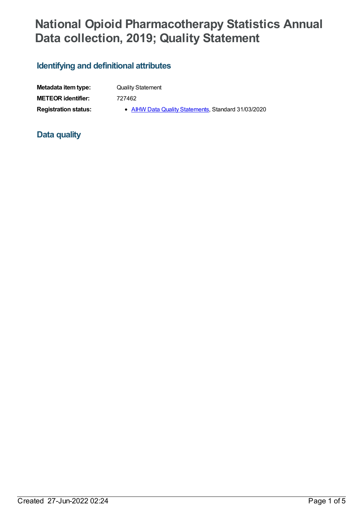# **National Opioid Pharmacotherapy Statistics Annual Data collection, 2019; Quality Statement**

## **Identifying and definitional attributes**

| Metadata item type:         |
|-----------------------------|
| <b>METEOR identifier:</b>   |
| <b>Registration status:</b> |

**Quality Statement** 

**METEOR identifier:** 727462

gistration status: **AIHW Data Quality [Statements](https://meteor.aihw.gov.au/RegistrationAuthority/5)**, Standard 31/03/2020

## **Data quality**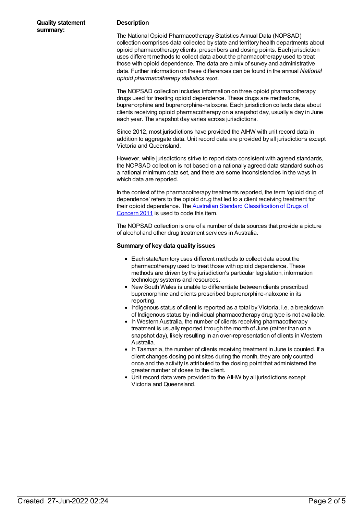#### **Description**

The National Opioid Pharmacotherapy Statistics Annual Data (NOPSAD) collection comprises data collected by state and territory health departments about opioid pharmacotherapy clients, prescribers and dosing points. Each jurisdiction uses different methods to collect data about the pharmacotherapy used to treat those with opioid dependence. The data are a mix of survey and administrative data. Further information on these differences can be found in the annual *National opioid pharmacotherapy statistics* report.

The NOPSAD collection includes information on three opioid pharmacotherapy drugs used for treating opioid dependence. These drugs are methadone, buprenorphine and buprenorphine-naloxone. Each jurisdiction collects data about clients receiving opioid pharmacotherapy on a snapshot day, usually a day in June each year. The snapshot day varies across jurisdictions.

Since 2012, most jurisdictions have provided the AIHW with unit record data in addition to aggregate data. Unit record data are provided by all jurisdictions except Victoria and Queensland.

However, while jurisdictions strive to report data consistent with agreed standards, the NOPSAD collection is not based on a nationally agreed data standard such as a national minimum data set, and there are some inconsistencies in the ways in which data are reported.

In the context of the pharmacotherapy treatments reported, the term 'opioid drug of dependence' refers to the opioid drug that led to a client receiving treatment for their opioid dependence. The Australian Standard [Classification](http://www.abs.gov.au/AUSSTATS/abs@.nsf/Lookup/1248.0Main+Features12011?OpenDocument) of Drugs of Concern 2011 is used to code this item.

The NOPSAD collection is one of a number of data sources that provide a picture of alcohol and other drug treatment services in Australia.

#### **Summary of key data quality issues**

- Each state/territory uses different methods to collect data about the pharmacotherapy used to treat those with opioid dependence. These methods are driven by the jurisdiction's particular legislation, information technology systems and resources.
- New South Wales is unable to differentiate between clients prescribed buprenorphine and clients prescribed buprenorphine-naloxone in its reporting.
- Indigenous status of client is reported as a total by Victoria, i.e. a breakdown of Indigenous status by individual pharmacotherapy drug type is not available.
- In Western Australia, the number of clients receiving pharmacotherapy treatment is usually reported through the month of June (rather than on a snapshot day), likely resulting in an over-representation of clients in Western Australia.
- In Tasmania, the number of clients receiving treatment in June is counted. If a client changes dosing point sites during the month, they are only counted once and the activity is attributed to the dosing point that administered the greater number of doses to the client.
- Unit record data were provided to the AIHW by all jurisdictions except Victoria and Queensland.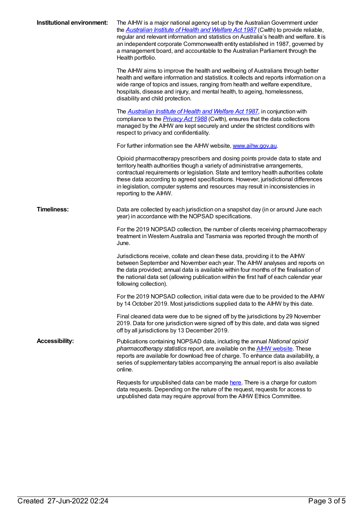| Institutional environment: | The AIHW is a major national agency set up by the Australian Government under<br>the <b>Australian Institute of Health and Welfare Act 1987</b> (Cwith) to provide reliable,<br>regular and relevant information and statistics on Australia's health and welfare. It is<br>an independent corporate Commonwealth entity established in 1987, governed by<br>a management board, and accountable to the Australian Parliament through the<br>Health portfolio. |
|----------------------------|----------------------------------------------------------------------------------------------------------------------------------------------------------------------------------------------------------------------------------------------------------------------------------------------------------------------------------------------------------------------------------------------------------------------------------------------------------------|
|                            | The AIHW aims to improve the health and wellbeing of Australians through better<br>health and welfare information and statistics. It collects and reports information on a<br>wide range of topics and issues, ranging from health and welfare expenditure,<br>hospitals, disease and injury, and mental health, to ageing, homelessness,<br>disability and child protection.                                                                                  |
|                            | The <b>Australian Institute of Health and Welfare Act 1987</b> , in conjunction with<br>compliance to the <i>Privacy Act 1988</i> (Cwlth), ensures that the data collections<br>managed by the AIHW are kept securely and under the strictest conditions with<br>respect to privacy and confidentiality.                                                                                                                                                       |
|                            | For further information see the AIHW website, www.aihw.gov.au.                                                                                                                                                                                                                                                                                                                                                                                                 |
|                            | Opioid pharmacotherapy prescribers and dosing points provide data to state and<br>territory health authorities though a variety of administrative arrangements,<br>contractual requirements or legislation. State and territory health authorities collate<br>these data according to agreed specifications. However, jurisdictional differences<br>in legislation, computer systems and resources may result in inconsistencies in<br>reporting to the AIHW.  |
| <b>Timeliness:</b>         | Data are collected by each jurisdiction on a snapshot day (in or around June each<br>year) in accordance with the NOPSAD specifications.                                                                                                                                                                                                                                                                                                                       |
|                            | For the 2019 NOPSAD collection, the number of clients receiving pharmacotherapy<br>treatment in Western Australia and Tasmania was reported through the month of<br>June.                                                                                                                                                                                                                                                                                      |
|                            | Jurisdictions receive, collate and clean these data, providing it to the AIHW<br>between September and November each year. The AIHW analyses and reports on<br>the data provided; annual data is available within four months of the finalisation of<br>the national data set (allowing publication within the first half of each calendar year<br>following collection).                                                                                      |
|                            | For the 2019 NOPSAD collection, initial data were due to be provided to the AIHW<br>by 14 October 2019. Most jurisdictions supplied data to the AIHW by this date.                                                                                                                                                                                                                                                                                             |
|                            | Final cleaned data were due to be signed off by the jurisdictions by 29 November<br>2019. Data for one jurisdiction were signed off by this date, and data was signed<br>off by all jurisdictions by 13 December 2019.                                                                                                                                                                                                                                         |
| <b>Accessibility:</b>      | Publications containing NOPSAD data, including the annual National opioid<br>pharmacotherapy statistics report, are available on the <b>AIHW</b> website. These<br>reports are available for download free of charge. To enhance data availability, a<br>series of supplementary tables accompanying the annual report is also available<br>online.                                                                                                            |
|                            | Requests for unpublished data can be made here. There is a charge for custom<br>data requests. Depending on the nature of the request, requests for access to<br>unpublished data may require approval from the AIHW Ethics Committee.                                                                                                                                                                                                                         |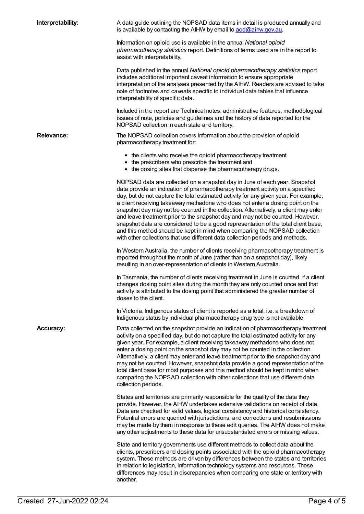| Interpretability: | A data guide outlining the NOPSAD data items in detail is produced annually and<br>is available by contacting the AIHW by email to aod@aihw.gov.au.                                                                                                                                                                                                                                                                                                                                                                                                                                                                                                                                                                                                                       |
|-------------------|---------------------------------------------------------------------------------------------------------------------------------------------------------------------------------------------------------------------------------------------------------------------------------------------------------------------------------------------------------------------------------------------------------------------------------------------------------------------------------------------------------------------------------------------------------------------------------------------------------------------------------------------------------------------------------------------------------------------------------------------------------------------------|
|                   | Information on opioid use is available in the annual National opioid<br>pharmacotherapy statistics report. Definitions of terms used are in the report to<br>assist with interpretability.                                                                                                                                                                                                                                                                                                                                                                                                                                                                                                                                                                                |
|                   | Data published in the annual National opioid pharmacotherapy statistics report<br>includes additional important caveat information to ensure appropriate<br>interpretation of the analyses presented by the AIHW. Readers are advised to take<br>note of footnotes and caveats specific to individual data tables that influence<br>interpretability of specific data.                                                                                                                                                                                                                                                                                                                                                                                                    |
|                   | Included in the report are Technical notes, administrative features, methodological<br>issues of note, policies and guidelines and the history of data reported for the<br>NOPSAD collection in each state and territory.                                                                                                                                                                                                                                                                                                                                                                                                                                                                                                                                                 |
| <b>Relevance:</b> | The NOPSAD collection covers information about the provision of opioid<br>pharmacotherapy treatment for:                                                                                                                                                                                                                                                                                                                                                                                                                                                                                                                                                                                                                                                                  |
|                   | • the clients who receive the opioid pharmacotherapy treatment<br>• the prescribers who prescribe the treatment and<br>• the dosing sites that dispense the pharmacotherapy drugs.                                                                                                                                                                                                                                                                                                                                                                                                                                                                                                                                                                                        |
|                   | NOPSAD data are collected on a snapshot day in June of each year. Snapshot<br>data provide an indication of pharmacotherapy treatment activity on a specified<br>day, but do not capture the total estimated activity for any given year. For example,<br>a client receiving takeaway methadone who does not enter a dosing point on the<br>snapshot day may not be counted in the collection. Alternatively, a client may enter<br>and leave treatment prior to the snapshot day and may not be counted. However,<br>snapshot data are considered to be a good representation of the total client base,<br>and this method should be kept in mind when comparing the NOPSAD collection<br>with other collections that use different data collection periods and methods. |
|                   | In Western Australia, the number of clients receiving pharmacotherapy treatment is<br>reported throughout the month of June (rather than on a snapshot day), likely<br>resulting in an over-representation of clients in Western Australia.                                                                                                                                                                                                                                                                                                                                                                                                                                                                                                                               |
|                   | In Tasmania, the number of clients receiving treatment in June is counted. If a client<br>changes dosing point sites during the month they are only counted once and that<br>activity is attributed to the dosing point that administered the greater number of<br>doses to the client.                                                                                                                                                                                                                                                                                                                                                                                                                                                                                   |
|                   | In Victoria, Indigenous status of client is reported as a total, i.e. a breakdown of<br>Indigenous status by individual pharmacotherapy drug type is not available.                                                                                                                                                                                                                                                                                                                                                                                                                                                                                                                                                                                                       |
| <b>Accuracy:</b>  | Data collected on the snapshot provide an indication of pharmacotherapy treatment<br>activity on a specified day, but do not capture the total estimated activity for any<br>given year. For example, a client receiving takeaway methadone who does not<br>enter a dosing point on the snapshot day may not be counted in the collection.<br>Alternatively, a client may enter and leave treatment prior to the snapshot day and<br>may not be counted. However, snapshot data provide a good representation of the<br>total client base for most purposes and this method should be kept in mind when<br>comparing the NOPSAD collection with other collections that use different data<br>collection periods.                                                          |
|                   | States and territories are primarily responsible for the quality of the data they<br>provide. However, the AIHW undertakes extensive validations on receipt of data.<br>Data are checked for valid values, logical consistency and historical consistency.<br>Potential errors are queried with jurisdictions, and corrections and resubmissions<br>may be made by them in response to these edit queries. The AIHW does not make<br>any other adjustments to these data for unsubstantiated errors or missing values.                                                                                                                                                                                                                                                    |
|                   | State and territory governments use different methods to collect data about the<br>clients, prescribers and dosing points associated with the opioid pharmacotherapy<br>system. These methods are driven by differences between the states and territories<br>in relation to legislation, information technology systems and resources. These<br>differences may result in discrepancies when comparing one state or territory with<br>another.                                                                                                                                                                                                                                                                                                                           |